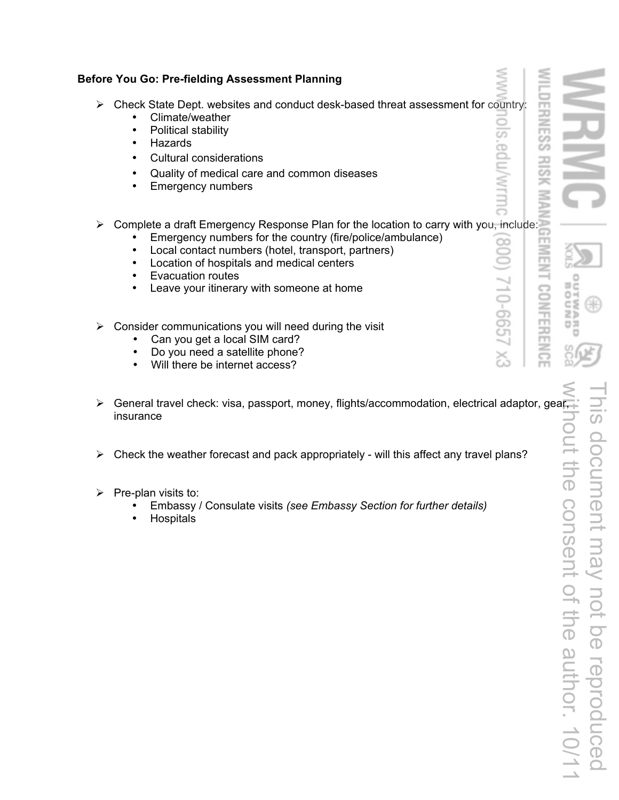| <b>Before You Go: Pre-fielding Assessment Planning</b>                                                                                                                                                                                                                                                                                                                                                                |  |
|-----------------------------------------------------------------------------------------------------------------------------------------------------------------------------------------------------------------------------------------------------------------------------------------------------------------------------------------------------------------------------------------------------------------------|--|
| Check State Dept. websites and conduct desk-based threat assessment for country:<br>➤<br>Climate/weather<br>Political stability<br>$\bullet$<br>cdu/wrmi<br>Hazards<br>$\bullet$<br><b>Cultural considerations</b><br>$\bullet$<br>Quality of medical care and common diseases<br>$\bullet$<br><b>Emergency numbers</b><br>$\bullet$                                                                                  |  |
| Complete a draft Emergency Response Plan for the location to carry with you, include:<br>≻<br>Emergency numbers for the country (fire/police/ambulance)<br>$\bullet$<br>80<br>Local contact numbers (hotel, transport, partners)<br>$\bullet$<br>Location of hospitals and medical centers<br>$\bullet$<br><b>Evacuation routes</b><br>$\bullet$<br>710-665<br>Leave your itinerary with someone at home<br>$\bullet$ |  |
| Consider communications you will need during the visit<br>≻<br>Can you get a local SIM card?<br>Do you need a satellite phone?<br>$\bullet$<br>డ<br>Will there be internet access?<br>$\bullet$                                                                                                                                                                                                                       |  |
| Canaral travel chack: visa nassnort money flights/accommodation electrical adaptor ges                                                                                                                                                                                                                                                                                                                                |  |

- insurance
- $\triangleright$  Check the weather forecast and pack appropriately will this affect any travel plans?
- $\triangleright$  Pre-plan visits to:
	- Embassy / Consulate visits *(see Embassy Section for further details)*
	- **Hospitals**